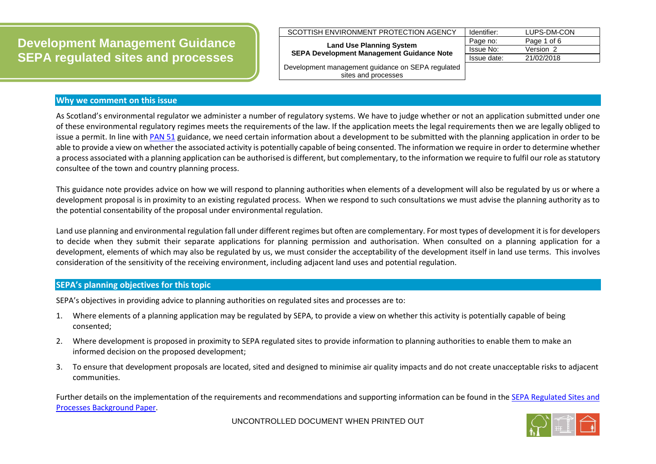**Development Management Guidance SEPA regulated sites and processes**

## **Why we comment on this issue**

As Scotland's environmental regulator we administer a number of regulatory systems. We have to judge whether or not an application submitted under one of these environmental regulatory regimes meets the requirements of the law. If the application meets the legal requirements then we are legally obliged to issue a permit. In line with [PAN 51](http://www.scotland.gov.uk/Publications/2006/10/20095106/0) guidance, we need certain information about a development to be submitted with the planning application in order to be able to provide a view on whether the associated activity is potentially capable of being consented. The information we require in order to determine whether a process associated with a planning application can be authorised is different, but complementary, to the information we require to fulfil our role as statutory consultee of the town and country planning process.

This guidance note provides advice on how we will respond to planning authorities when elements of a development will also be regulated by us or where a development proposal is in proximity to an existing regulated process. When we respond to such consultations we must advise the planning authority as to the potential consentability of the proposal under environmental regulation.

Land use planning and environmental regulation fall under different regimes but often are complementary. For most types of development it is for developers to decide when they submit their separate applications for planning permission and authorisation. When consulted on a planning application for a development, elements of which may also be regulated by us, we must consider the acceptability of the development itself in land use terms. This involves consideration of the sensitivity of the receiving environment, including adjacent land uses and potential regulation.

## **SEPA's planning objectives for this topic**

SEPA's objectives in providing advice to planning authorities on regulated sites and processes are to:

- 1. Where elements of a planning application may be regulated by SEPA, to provide a view on whether this activity is potentially capable of being consented;
- 2. Where development is proposed in proximity to SEPA regulated sites to provide information to planning authorities to enable them to make an informed decision on the proposed development;
- 3. To ensure that development proposals are located, sited and designed to minimise air quality impacts and do not create unacceptable risks to adjacent communities.

Further details on the implementation of the requirements and recommendations and supporting information can be found in th[e SEPA Regulated Sites and](https://www.sepa.org.uk/media/219483/lups-bp-con-development-management-guidance-sepa-regulated-sites-and-processes.pdf)  Processes [Background Paper.](https://www.sepa.org.uk/media/219483/lups-bp-con-development-management-guidance-sepa-regulated-sites-and-processes.pdf)

UNCONTROLLED DOCUMENT WHEN PRINTED OUT



| Identifier: | LUPS-DM-CON |
|-------------|-------------|
| Page no:    | Page 1 of 6 |
| Issue No:   | Version 2   |
| Issue date: | 21/02/2018  |
|             |             |

Development management guidance on SEPA regulated sites and processes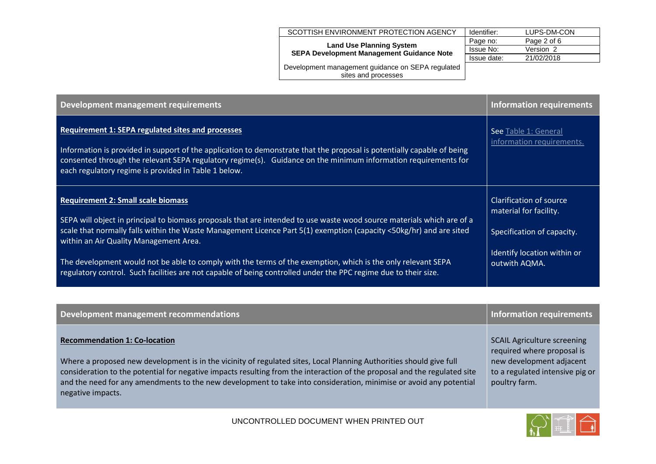| SCOTTISH ENVIRONMENT PROTECTION AGENCY            | Identifier: | LUPS-DM-CON |
|---------------------------------------------------|-------------|-------------|
| <b>Land Use Planning System</b>                   | Page no:    | Page 2 of 6 |
| <b>SEPA Development Management Guidance Note</b>  | Issue No:   | Version 2   |
|                                                   | Issue date: | 21/02/2018  |
| Development management guidance on SEPA regulated |             |             |
| sites and processes                               |             |             |
|                                                   |             |             |

| Development management requirements                                                                                                                                                                                                                                                                                                                          | <b>Information requirements</b>                                                 |
|--------------------------------------------------------------------------------------------------------------------------------------------------------------------------------------------------------------------------------------------------------------------------------------------------------------------------------------------------------------|---------------------------------------------------------------------------------|
| <b>Requirement 1: SEPA regulated sites and processes</b><br>Information is provided in support of the application to demonstrate that the proposal is potentially capable of being<br>consented through the relevant SEPA regulatory regime(s). Guidance on the minimum information requirements for<br>each regulatory regime is provided in Table 1 below. | See Table 1: General<br>information requirements.                               |
| <b>Requirement 2: Small scale biomass</b><br>SEPA will object in principal to biomass proposals that are intended to use waste wood source materials which are of a<br>scale that normally falls within the Waste Management Licence Part 5(1) exemption (capacity <50kg/hr) and are sited<br>within an Air Quality Management Area.                         | Clarification of source<br>material for facility.<br>Specification of capacity. |
| The development would not be able to comply with the terms of the exemption, which is the only relevant SEPA<br>regulatory control. Such facilities are not capable of being controlled under the PPC regime due to their size.                                                                                                                              | Identify location within or<br>outwith AQMA.                                    |

| Development management recommendations                                                                                                                                                                                                                                                                                                                                                                                              | Information requirements                                                                                                                         |
|-------------------------------------------------------------------------------------------------------------------------------------------------------------------------------------------------------------------------------------------------------------------------------------------------------------------------------------------------------------------------------------------------------------------------------------|--------------------------------------------------------------------------------------------------------------------------------------------------|
| <b>Recommendation 1: Co-location</b><br>Where a proposed new development is in the vicinity of regulated sites, Local Planning Authorities should give full<br>consideration to the potential for negative impacts resulting from the interaction of the proposal and the regulated site<br>and the need for any amendments to the new development to take into consideration, minimise or avoid any potential<br>negative impacts. | <b>SCAIL Agriculture screening</b><br>required where proposal is<br>new development adjacent<br>to a regulated intensive pig or<br>poultry farm. |
|                                                                                                                                                                                                                                                                                                                                                                                                                                     |                                                                                                                                                  |

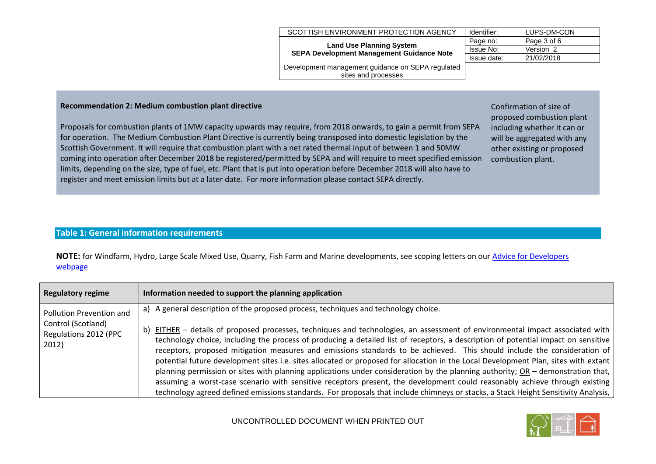|                                                                                                                                                                                                                                                                                                                                                                       | SCOTTISH ENVIRONMENT PROTECTION AGENCY                                              | Identifier:      | LUPS-DM-CON                                                                                                        |
|-----------------------------------------------------------------------------------------------------------------------------------------------------------------------------------------------------------------------------------------------------------------------------------------------------------------------------------------------------------------------|-------------------------------------------------------------------------------------|------------------|--------------------------------------------------------------------------------------------------------------------|
|                                                                                                                                                                                                                                                                                                                                                                       |                                                                                     | Page no:         | Page 3 of 6                                                                                                        |
|                                                                                                                                                                                                                                                                                                                                                                       | <b>Land Use Planning System</b><br><b>SEPA Development Management Guidance Note</b> | <b>Issue No:</b> | Version 2                                                                                                          |
|                                                                                                                                                                                                                                                                                                                                                                       |                                                                                     | Issue date:      | 21/02/2018                                                                                                         |
|                                                                                                                                                                                                                                                                                                                                                                       | Development management guidance on SEPA regulated<br>sites and processes            |                  |                                                                                                                    |
|                                                                                                                                                                                                                                                                                                                                                                       |                                                                                     |                  |                                                                                                                    |
| <b>Recommendation 2: Medium combustion plant directive</b><br>Proposals for combustion plants of 1MW capacity upwards may require, from 2018 onwards, to gain a permit from SEPA<br>for operation. The Medium Combustion Plant Directive is currently being transposed into domestic legislation by the                                                               |                                                                                     |                  | Confirmation of size of<br>proposed combustion plant<br>including whether it can or<br>will be aggregated with any |
| Scottish Government. It will require that combustion plant with a net rated thermal input of between 1 and 50MW<br>coming into operation after December 2018 be registered/permitted by SEPA and will require to meet specified emission<br>limits, depending on the size, type of fuel, etc. Plant that is put into operation before December 2018 will also have to |                                                                                     |                  | other existing or proposed<br>combustion plant.                                                                    |

register and meet emission limits but at a later date. For more information please contact SEPA directly.

## <span id="page-2-0"></span>**Table 1: General information requirements**

**NOTE:** for Windfarm, Hydro, Large Scale Mixed Use, Quarry, Fish Farm and Marine developments, see scoping letters on ou[r Advice for Developers](http://www.sepa.org.uk/environment/land/planning/advice-for-developers/)  [webpage](http://www.sepa.org.uk/environment/land/planning/advice-for-developers/)

| <b>Regulatory regime</b>                             | Information needed to support the planning application                                                                                                                                                                                                                                                                                                                                                                                                                                                                                                                                                                                                                                                                                                                                                                                                                                                                                          |
|------------------------------------------------------|-------------------------------------------------------------------------------------------------------------------------------------------------------------------------------------------------------------------------------------------------------------------------------------------------------------------------------------------------------------------------------------------------------------------------------------------------------------------------------------------------------------------------------------------------------------------------------------------------------------------------------------------------------------------------------------------------------------------------------------------------------------------------------------------------------------------------------------------------------------------------------------------------------------------------------------------------|
| Pollution Prevention and                             | a) A general description of the proposed process, techniques and technology choice.                                                                                                                                                                                                                                                                                                                                                                                                                                                                                                                                                                                                                                                                                                                                                                                                                                                             |
| Control (Scotland)<br>Regulations 2012 (PPC<br>2012) | b) EITHER - details of proposed processes, techniques and technologies, an assessment of environmental impact associated with<br>technology choice, including the process of producing a detailed list of receptors, a description of potential impact on sensitive<br>receptors, proposed mitigation measures and emissions standards to be achieved. This should include the consideration of<br>potential future development sites i.e. sites allocated or proposed for allocation in the Local Development Plan, sites with extant<br>planning permission or sites with planning applications under consideration by the planning authority; $OR -$ demonstration that,<br>assuming a worst-case scenario with sensitive receptors present, the development could reasonably achieve through existing<br>technology agreed defined emissions standards. For proposals that include chimneys or stacks, a Stack Height Sensitivity Analysis, |

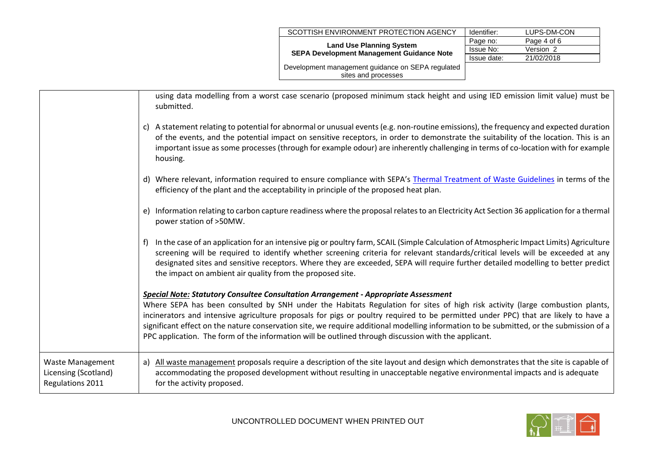| SCOTTISH ENVIRONMENT PROTECTION AGENCY                                              | Identifier: | LUPS-DM-CON |
|-------------------------------------------------------------------------------------|-------------|-------------|
| <b>Land Use Planning System</b><br><b>SEPA Development Management Guidance Note</b> | Page no:    | Page 4 of 6 |
|                                                                                     | Issue No:   | Version 2   |
|                                                                                     | Issue date: | 21/02/2018  |
| Development management guidance on SEPA regulated                                   |             |             |
| sites and processes                                                                 |             |             |

|                                                                            | using data modelling from a worst case scenario (proposed minimum stack height and using IED emission limit value) must be<br>submitted.<br>c) A statement relating to potential for abnormal or unusual events (e.g. non-routine emissions), the frequency and expected duration<br>of the events, and the potential impact on sensitive receptors, in order to demonstrate the suitability of the location. This is an<br>important issue as some processes (through for example odour) are inherently challenging in terms of co-location with for example<br>housing.<br>d) Where relevant, information required to ensure compliance with SEPA's Thermal Treatment of Waste Guidelines in terms of the                                                                                                                                       |
|----------------------------------------------------------------------------|---------------------------------------------------------------------------------------------------------------------------------------------------------------------------------------------------------------------------------------------------------------------------------------------------------------------------------------------------------------------------------------------------------------------------------------------------------------------------------------------------------------------------------------------------------------------------------------------------------------------------------------------------------------------------------------------------------------------------------------------------------------------------------------------------------------------------------------------------|
|                                                                            | efficiency of the plant and the acceptability in principle of the proposed heat plan.<br>e) Information relating to carbon capture readiness where the proposal relates to an Electricity Act Section 36 application for a thermal<br>power station of >50MW.<br>In the case of an application for an intensive pig or poultry farm, SCAIL (Simple Calculation of Atmospheric Impact Limits) Agriculture<br>f)                                                                                                                                                                                                                                                                                                                                                                                                                                    |
|                                                                            | screening will be required to identify whether screening criteria for relevant standards/critical levels will be exceeded at any<br>designated sites and sensitive receptors. Where they are exceeded, SEPA will require further detailed modelling to better predict<br>the impact on ambient air quality from the proposed site.<br><b>Special Note: Statutory Consultee Consultation Arrangement - Appropriate Assessment</b><br>Where SEPA has been consulted by SNH under the Habitats Regulation for sites of high risk activity (large combustion plants,<br>incinerators and intensive agriculture proposals for pigs or poultry required to be permitted under PPC) that are likely to have a<br>significant effect on the nature conservation site, we require additional modelling information to be submitted, or the submission of a |
| <b>Waste Management</b><br>Licensing (Scotland)<br><b>Regulations 2011</b> | PPC application. The form of the information will be outlined through discussion with the applicant.<br>All waste management proposals require a description of the site layout and design which demonstrates that the site is capable of<br>a)<br>accommodating the proposed development without resulting in unacceptable negative environmental impacts and is adequate<br>for the activity proposed.                                                                                                                                                                                                                                                                                                                                                                                                                                          |

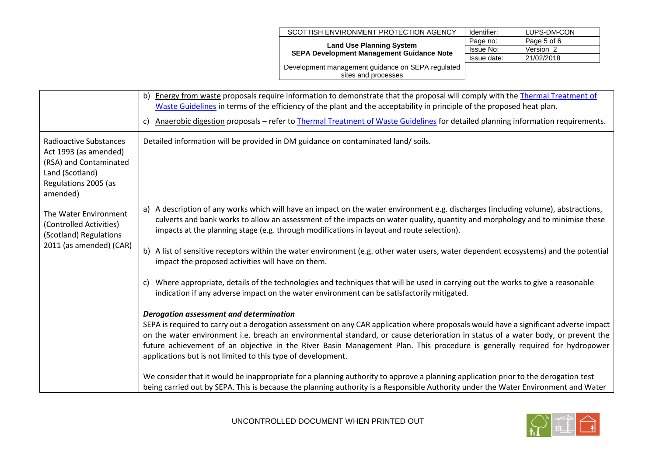| SCOTTISH ENVIRONMENT PROTECTION AGENCY                                              | Identifier: | LUPS-DM-CON |
|-------------------------------------------------------------------------------------|-------------|-------------|
|                                                                                     | Page no:    | Page 5 of 6 |
| <b>Land Use Planning System</b><br><b>SEPA Development Management Guidance Note</b> | Issue No:   | Version 2   |
|                                                                                     | Issue date: | 21/02/2018  |
| Development management guidance on SEPA regulated                                   |             |             |
| sites and processes                                                                 |             |             |

|                                                                                                                                         | b) Energy from waste proposals require information to demonstrate that the proposal will comply with the Thermal Treatment of<br>Waste Guidelines in terms of the efficiency of the plant and the acceptability in principle of the proposed heat plan.<br>Anaerobic digestion proposals - refer to Thermal Treatment of Waste Guidelines for detailed planning information requirements.<br>C)                                                                                                                                                                                                                                                                                                                                                                                                                                                                                                    |
|-----------------------------------------------------------------------------------------------------------------------------------------|----------------------------------------------------------------------------------------------------------------------------------------------------------------------------------------------------------------------------------------------------------------------------------------------------------------------------------------------------------------------------------------------------------------------------------------------------------------------------------------------------------------------------------------------------------------------------------------------------------------------------------------------------------------------------------------------------------------------------------------------------------------------------------------------------------------------------------------------------------------------------------------------------|
| <b>Radioactive Substances</b><br>Act 1993 (as amended)<br>(RSA) and Contaminated<br>Land (Scotland)<br>Regulations 2005 (as<br>amended) | Detailed information will be provided in DM guidance on contaminated land/ soils.                                                                                                                                                                                                                                                                                                                                                                                                                                                                                                                                                                                                                                                                                                                                                                                                                  |
| The Water Environment<br>(Controlled Activities)<br>(Scotland) Regulations<br>2011 (as amended) (CAR)                                   | a) A description of any works which will have an impact on the water environment e.g. discharges (including volume), abstractions,<br>culverts and bank works to allow an assessment of the impacts on water quality, quantity and morphology and to minimise these<br>impacts at the planning stage (e.g. through modifications in layout and route selection).<br>b) A list of sensitive receptors within the water environment (e.g. other water users, water dependent ecosystems) and the potential<br>impact the proposed activities will have on them.<br>c) Where appropriate, details of the technologies and techniques that will be used in carrying out the works to give a reasonable                                                                                                                                                                                                 |
|                                                                                                                                         | indication if any adverse impact on the water environment can be satisfactorily mitigated.<br><b>Derogation assessment and determination</b><br>SEPA is required to carry out a derogation assessment on any CAR application where proposals would have a significant adverse impact<br>on the water environment i.e. breach an environmental standard, or cause deterioration in status of a water body, or prevent the<br>future achievement of an objective in the River Basin Management Plan. This procedure is generally required for hydropower<br>applications but is not limited to this type of development.<br>We consider that it would be inappropriate for a planning authority to approve a planning application prior to the derogation test<br>being carried out by SEPA. This is because the planning authority is a Responsible Authority under the Water Environment and Water |